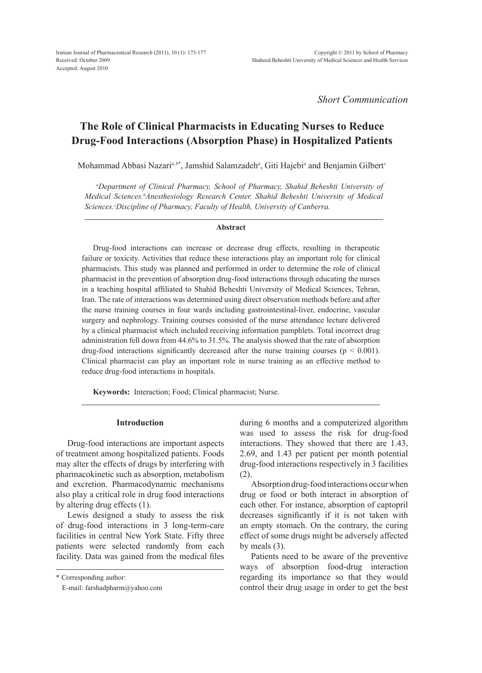*Short Communication*

# **The Role of Clinical Pharmacists in Educating Nurses to Reduce Drug-Food Interactions (Absorption Phase) in Hospitalized Patients**

Mohammad Abbasi Nazari*a,b*\* , Jamshid Salamzadeh*<sup>a</sup>* , Giti Hajebi*<sup>a</sup>* and Benjamin Gilbert*<sup>c</sup>*

*a Department of Clinical Pharmacy, School of Pharmacy, Shahid Beheshti University of Medical Sciences.b Anesthesiology Research Center. Shahid Beheshti University of Medical Sciences.c Discipline of Pharmacy, Faculty of Health, University of Canberra.*

#### **Abstract**

Drug-food interactions can increase or decrease drug effects, resulting in therapeutic failure or toxicity. Activities that reduce these interactions play an important role for clinical pharmacists. This study was planned and performed in order to determine the role of clinical pharmacist in the prevention of absorption drug-food interactions through educating the nurses in a teaching hospital affiliated to Shahid Beheshti University of Medical Sciences, Tehran, Iran. The rate of interactions was determined using direct observation methods before and after the nurse training courses in four wards including gastrointestinal-liver, endocrine, vascular surgery and nephrology. Training courses consisted of the nurse attendance lecture delivered by a clinical pharmacist which included receiving information pamphlets. Total incorrect drug administration fell down from 44.6% to 31.5%. The analysis showed that the rate of absorption drug-food interactions significantly decreased after the nurse training courses ( $p < 0.001$ ). Clinical pharmacist can play an important role in nurse training as an effective method to reduce drug-food interactions in hospitals.

**Keywords:** Interaction; Food; Clinical pharmacist; Nurse.

# **Introduction**

Drug-food interactions are important aspects of treatment among hospitalized patients. Foods may alter the effects of drugs by interfering with pharmacokinetic such as absorption, metabolism and excretion. Pharmacodynamic mechanisms also play a critical role in drug food interactions by altering drug effects (1).

Lewis designed a study to assess the risk of drug-food interactions in 3 long-term-care facilities in central New York State. Fifty three patients were selected randomly from each facility. Data was gained from the medical files

\* Corresponding author:

E-mail: farshadpharm@yahoo.com

during 6 months and a computerized algorithm was used to assess the risk for drug-food interactions. They showed that there are 1.43, 2.69, and 1.43 per patient per month potential drug-food interactions respectively in 3 facilities (2).

Absorption drug-food interactions occur when drug or food or both interact in absorption of each other. For instance, absorption of captopril decreases significantly if it is not taken with an empty stomach. On the contrary, the curing effect of some drugs might be adversely affected by meals (3).

Patients need to be aware of the preventive ways of absorption food-drug interaction regarding its importance so that they would control their drug usage in order to get the best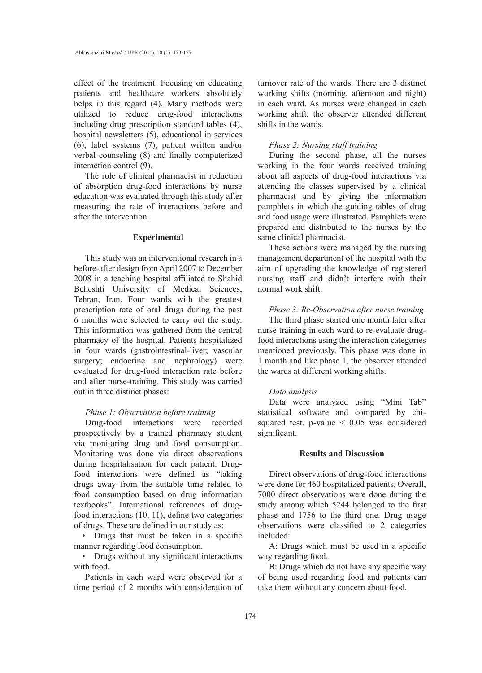effect of the treatment. Focusing on educating patients and healthcare workers absolutely helps in this regard (4). Many methods were utilized to reduce drug-food interactions including drug prescription standard tables (4), hospital newsletters (5), educational in services (6), label systems (7), patient written and/or verbal counseling (8) and finally computerized interaction control (9).

The role of clinical pharmacist in reduction of absorption drug-food interactions by nurse education was evaluated through this study after measuring the rate of interactions before and after the intervention.

### **Experimental**

This study was an interventional research in a before-after design from April 2007 to December 2008 in a teaching hospital affiliated to Shahid Beheshti University of Medical Sciences, Tehran, Iran. Four wards with the greatest prescription rate of oral drugs during the past 6 months were selected to carry out the study. This information was gathered from the central pharmacy of the hospital. Patients hospitalized in four wards (gastrointestinal-liver; vascular surgery; endocrine and nephrology) were evaluated for drug-food interaction rate before and after nurse-training. This study was carried out in three distinct phases:

#### *Phase 1: Observation before training*

Drug-food interactions were recorded prospectively by a trained pharmacy student via monitoring drug and food consumption. Monitoring was done via direct observations during hospitalisation for each patient. Drugfood interactions were defined as "taking drugs away from the suitable time related to food consumption based on drug information textbooks". International references of drugfood interactions (10, 11), define two categories of drugs. These are defined in our study as:

• Drugs that must be taken in a specific manner regarding food consumption.

• Drugs without any significant interactions with food.

Patients in each ward were observed for a time period of 2 months with consideration of turnover rate of the wards. There are 3 distinct working shifts (morning, afternoon and night) in each ward. As nurses were changed in each working shift, the observer attended different shifts in the wards.

## *Phase 2: Nursing staff training*

During the second phase, all the nurses working in the four wards received training about all aspects of drug-food interactions via attending the classes supervised by a clinical pharmacist and by giving the information pamphlets in which the guiding tables of drug and food usage were illustrated. Pamphlets were prepared and distributed to the nurses by the same clinical pharmacist.

These actions were managed by the nursing management department of the hospital with the aim of upgrading the knowledge of registered nursing staff and didn't interfere with their normal work shift.

## *Phase 3: Re-Observation after nurse training*

The third phase started one month later after nurse training in each ward to re-evaluate drugfood interactions using the interaction categories mentioned previously. This phase was done in 1 month and like phase 1, the observer attended the wards at different working shifts.

# *Data analysis*

Data were analyzed using "Mini Tab" statistical software and compared by chisquared test. p-value < 0.05 was considered significant.

# **Results and Discussion**

Direct observations of drug-food interactions were done for 460 hospitalized patients. Overall, 7000 direct observations were done during the study among which 5244 belonged to the first phase and 1756 to the third one. Drug usage observations were classified to 2 categories included:

A: Drugs which must be used in a specific way regarding food.

B: Drugs which do not have any specific way of being used regarding food and patients can take them without any concern about food.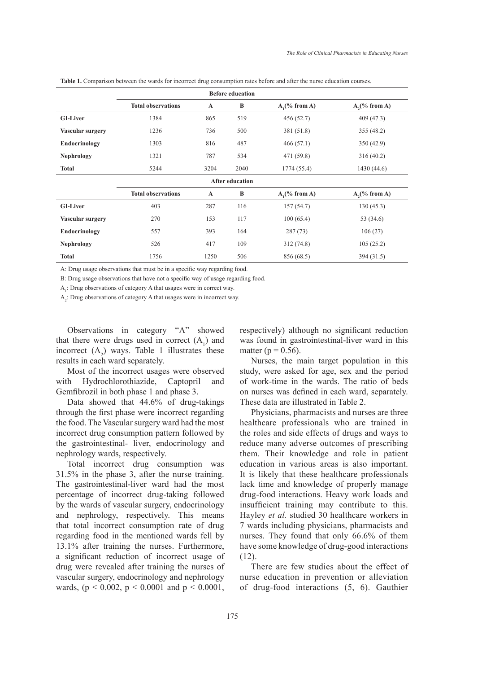|                         |                           |              | <b>Before education</b> |                 |                 |  |  |  |
|-------------------------|---------------------------|--------------|-------------------------|-----------------|-----------------|--|--|--|
|                         | <b>Total observations</b> | $\mathbf{A}$ | B                       | $A1(\% from A)$ | $A2(\% from A)$ |  |  |  |
| <b>GI-Liver</b>         | 1384                      | 865          | 519                     | 456 (52.7)      | 409 (47.3)      |  |  |  |
| <b>Vascular surgery</b> | 1236                      | 736          | 500                     | 381 (51.8)      | 355 (48.2)      |  |  |  |
| Endocrinology           | 1303                      | 816          | 487                     | 466(57.1)       | 350 (42.9)      |  |  |  |
| <b>Nephrology</b>       | 1321                      | 787          | 534                     | 471 (59.8)      | 316(40.2)       |  |  |  |
| <b>Total</b>            | 5244                      | 3204         | 2040                    | 1774 (55.4)     | 1430(44.6)      |  |  |  |
| <b>After education</b>  |                           |              |                         |                 |                 |  |  |  |
|                         | <b>Total observations</b> | $\mathbf{A}$ | B                       | $A1(\% from A)$ | $A2(\% from A)$ |  |  |  |
| <b>GI-Liver</b>         | 403                       | 287          | 116                     | 157(54.7)       | 130(45.3)       |  |  |  |
| Vascular surgery        | 270                       | 153          | 117                     | 100(65.4)       | 53 (34.6)       |  |  |  |
| Endocrinology           | 557                       | 393          | 164                     | 287(73)         | 106(27)         |  |  |  |
| <b>Nephrology</b>       | 526                       | 417          | 109                     | 312(74.8)       | 105(25.2)       |  |  |  |
| <b>Total</b>            | 1756                      | 1250         | 506                     | 856 (68.5)      | 394 (31.5)      |  |  |  |

**Table 1.** Comparison between the wards for incorrect drug consumption rates before and after the nurse education courses.

A: Drug usage observations that must be in a specific way regarding food.

B: Drug usage observations that have not a specific way of usage regarding food.

 $A<sub>1</sub>$ : Drug observations of category A that usages were in correct way.

 $A_2$ : Drug observations of category A that usages were in incorrect way.

Observations in category "A" showed that there were drugs used in correct  $(A_1)$  and incorrect  $(A_2)$  ways. Table 1 illustrates these results in each ward separately.

Most of the incorrect usages were observed with Hydrochlorothiazide, Captopril and Gemfibrozil in both phase 1 and phase 3.

Data showed that 44.6% of drug-takings through the first phase were incorrect regarding the food. The Vascular surgery ward had the most incorrect drug consumption pattern followed by the gastrointestinal- liver, endocrinology and nephrology wards, respectively.

Total incorrect drug consumption was 31.5% in the phase 3, after the nurse training. The gastrointestinal-liver ward had the most percentage of incorrect drug-taking followed by the wards of vascular surgery, endocrinology and nephrology, respectively. This means that total incorrect consumption rate of drug regarding food in the mentioned wards fell by 13.1% after training the nurses. Furthermore, a significant reduction of incorrect usage of drug were revealed after training the nurses of vascular surgery, endocrinology and nephrology wards, ( $p < 0.002$ ,  $p < 0.0001$  and  $p < 0.0001$ , respectively) although no significant reduction was found in gastrointestinal-liver ward in this matter ( $p = 0.56$ ).

Nurses, the main target population in this study, were asked for age, sex and the period of work-time in the wards. The ratio of beds on nurses was defined in each ward, separately. These data are illustrated in Table 2.

Physicians, pharmacists and nurses are three healthcare professionals who are trained in the roles and side effects of drugs and ways to reduce many adverse outcomes of prescribing them. Their knowledge and role in patient education in various areas is also important. It is likely that these healthcare professionals lack time and knowledge of properly manage drug-food interactions. Heavy work loads and insufficient training may contribute to this. Hayley *et al.* studied 30 healthcare workers in 7 wards including physicians, pharmacists and nurses. They found that only 66.6% of them have some knowledge of drug-good interactions (12).

There are few studies about the effect of nurse education in prevention or alleviation of drug-food interactions (5, 6). Gauthier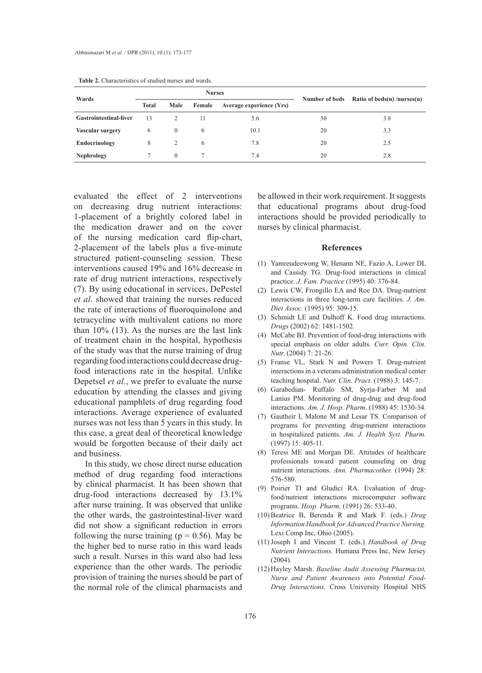| Wards                  | <b>Nurses</b> |               |        |                          |                |                             |
|------------------------|---------------|---------------|--------|--------------------------|----------------|-----------------------------|
|                        | <b>Total</b>  | Male          | Female | Average experience (Yrs) | Number of beds | Ratio of beds(n) /nurses(n) |
| Gastrointestinal-liver | 13            | 2             | 11     | 5.6                      | 50             | 3.8                         |
| Vascular surgery       | 6             | $\Omega$      | 6      | 10.1                     | 20             | 3.3                         |
| Endocrinology          | 8             | $\mathcal{L}$ | 6      | 7.8                      | 20             | 2.5                         |
| <b>Nephrology</b>      |               | $\Omega$      |        | 7.4                      | 20             | 2.8                         |

**Table 2.** Characteristics of studied nurses and wards.

evaluated the effect of 2 interventions on decreasing drug nutrient interactions: 1-placement of a brightly colored label in the medication drawer and on the cover of the nursing medication card flip-chart, 2-placement of the labels plus a five-minute structured patient-counseling session. These interventions caused 19% and 16% decrease in rate of drug nutrient interactions, respectively (7). By using educational in services, DePestel *et al*. showed that training the nurses reduced the rate of interactions of fluoroquinolone and tetracycline with multivalent cations no more than 10% (13). As the nurses are the last link of treatment chain in the hospital, hypothesis of the study was that the nurse training of drug regarding food interactions could decrease drugfood interactions rate in the hospital. Unlike Depetsel *et al.*, we prefer to evaluate the nurse education by attending the classes and giving educational pamphlets of drug regarding food interactions. Average experience of evaluated nurses was not less than 5 years in this study. In this case, a great deal of theoretical knowledge would be forgotten because of their daily act and business.

In this study, we chose direct nurse education method of drug regarding food interactions by clinical pharmacist. It has been shown that drug-food interactions decreased by 13.1% after nurse training. It was observed that unlike the other wards, the gastrointestinal-liver ward did not show a significant reduction in errors following the nurse training ( $p = 0.56$ ). May be the higher bed to nurse ratio in this ward leads such a result. Nurses in this ward also had less experience than the other wards. The periodic provision of training the nurses should be part of the normal role of the clinical pharmacists and be allowed in their work requirement. It suggests that educational programs about drug-food interactions should be provided periodically to nurses by clinical pharmacist.

## **References**

- (1) Yamreudeewong W, Henann NE, Fazio A, Lower DL and Cassidy TG. Drug-food interactions in clinical practice. *J. Fam. Practice* (1995) 40: 376-84.
- (2) Lewis CW, Frongillo EA and Roe DA. Drug-nutrient interactions in three long-term care facilities. *J. Am. Diet Assoc.* (1995) 95: 309-15.
- (3) Schmidt LE and Dalhoff K. Food drug interactions. *Drugs* (2002) 62: 1481-1502.
- (4) McCabe BJ. Prevention of food-drug interactions with special emphasis on older adults. *Curr. Opin. Clin. Nutr.* (2004) 7: 21-26.
- Franse VL, Stark N and Powers T. Drug-nutrient (5) interactions in a veterans administration medical center teaching hospital. *Nutr. Clin. Pract*. (1988) 3: 145-7.
- Garabedian- Ruffalo SM, Syrja-Farber M and (6) Lanius PM. Monitoring of drug-drug and drug-food interactions. *Am. J. Hosp. Pharm*. (1988) 45: 1530-34.
- (7) Gautheir I, Malone M and Lesar TS. Comparison of programs for preventing drug-nutrient interactions in hospitalized patients. *Am. J. Health Syst. Pharm.* (1997) 15: 405-11.
- Teresi ME and Morgan DE. Attitudes of healthcare (8) professionals toward patient counseling on drug nutrient interactions. *Ann. Pharmacother.* (1994) 28: 576-580.
- (9) Poirier TI and Gludici RA. Evaluation of drugfood/nutrient interactions microcomputer software programs. *Hosp. Pharm*. (1991) 26: 533-40.
- Beatrice B, Berenda R and Mark F. (eds.) *Drug*  (10) *Information Handbook for Advanced Practice Nursing.* Lexi Comp Inc, Ohio (2005).
- (11) Joseph I and Vincent T. (eds.) *Handbook of Drug Nutrient Interactions*. Humana Press Inc, New Jersey  $(2004)$
- Hayley Marsh. *Baseline Audit Assessing Pharmacist,*  (12) *Nurse and Patient Awareness into Potential Food-Drug Interactions.* Cross University Hospital NHS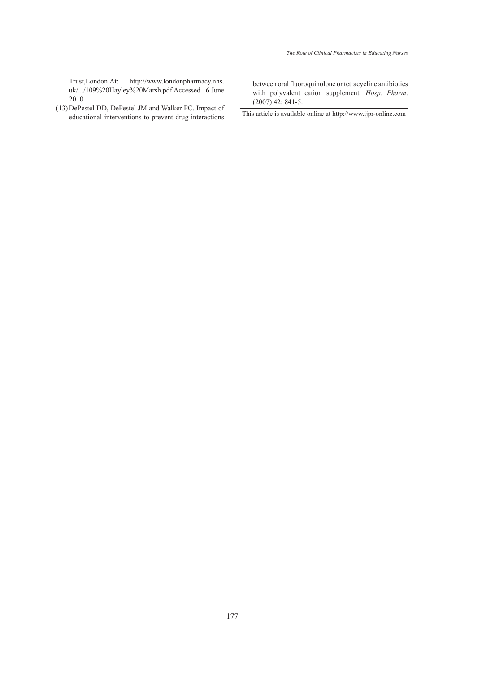Trust,London.At: http://www.londonpharmacy.nhs. uk/.../109%20Hayley%20Marsh.pdf Accessed 16 June 2010.

(13) DePestel DD, DePestel JM and Walker PC. Impact of educational interventions to prevent drug interactions between oral fluoroquinolone or tetracycline antibiotics with polyvalent cation supplement. *Hosp. Pharm*. (2007) 42: 841-5.

This article is available online at http://www.ijpr-online.com